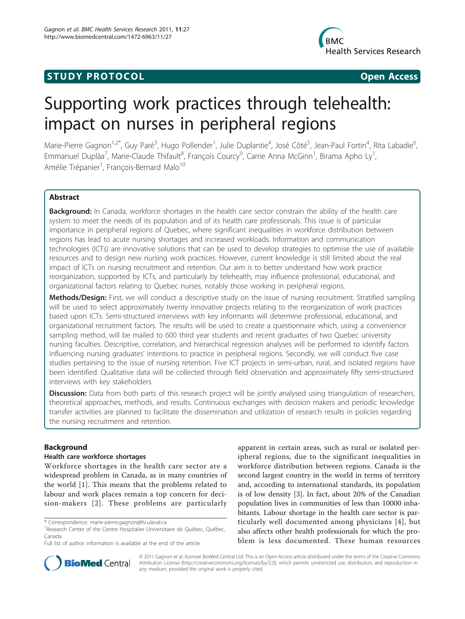## **STUDY PROTOCOL** And the state of the state of the state of the state of the state of the state of the state of the state of the state of the state of the state of the state of the state of the state of the state of the st



# Supporting work practices through telehealth: impact on nurses in peripheral regions

Marie-Pierre Gagnon<sup>1,2\*</sup>, Guy Paré<sup>3</sup>, Hugo Pollender<sup>1</sup>, Julie Duplantie<sup>4</sup>, José Côté<sup>5</sup>, Jean-Paul Fortin<sup>4</sup>, Rita Labadie<sup>6</sup> , Emmanuel Duplàa<sup>7</sup>, Marie-Claude Thifault<sup>8</sup>, François Courcy<sup>9</sup>, Carrie Anna McGinn<sup>1</sup>, Birama Apho Ly<sup>1</sup> , Amélie Trépanier<sup>1</sup>, François-Bernard Malo<sup>10</sup>

### Abstract

Background: In Canada, workforce shortages in the health care sector constrain the ability of the health care system to meet the needs of its population and of its health care professionals. This issue is of particular importance in peripheral regions of Quebec, where significant inequalities in workforce distribution between regions has lead to acute nursing shortages and increased workloads. Information and communication technologies (ICTs) are innovative solutions that can be used to develop strategies to optimise the use of available resources and to design new nursing work practices. However, current knowledge is still limited about the real impact of ICTs on nursing recruitment and retention. Our aim is to better understand how work practice reorganization, supported by ICTs, and particularly by telehealth, may influence professional, educational, and organizational factors relating to Quebec nurses, notably those working in peripheral regions.

Methods/Design: First, we will conduct a descriptive study on the issue of nursing recruitment. Stratified sampling will be used to select approximately twenty innovative projects relating to the reorganization of work practices based upon ICTs. Semi-structured interviews with key informants will determine professional, educational, and organizational recruitment factors. The results will be used to create a questionnaire which, using a convenience sampling method, will be mailed to 600 third year students and recent graduates of two Quebec university nursing faculties. Descriptive, correlation, and hierarchical regression analyses will be performed to identify factors influencing nursing graduates' intentions to practice in peripheral regions. Secondly, we will conduct five case studies pertaining to the issue of nursing retention. Five ICT projects in semi-urban, rural, and isolated regions have been identified. Qualitative data will be collected through field observation and approximately fifty semi-structured interviews with key stakeholders.

Discussion: Data from both parts of this research project will be jointly analysed using triangulation of researchers, theoretical approaches, methods, and results. Continuous exchanges with decision makers and periodic knowledge transfer activities are planned to facilitate the dissemination and utilization of research results in policies regarding the nursing recruitment and retention.

#### Background

#### Health care workforce shortages

Workforce shortages in the health care sector are a widespread problem in Canada, as in many countries of the world [\[1](#page-7-0)]. This means that the problems related to labour and work places remain a top concern for decision-makers [[2\]](#page-7-0). These problems are particularly

apparent in certain areas, such as rural or isolated peripheral regions, due to the significant inequalities in workforce distribution between regions. Canada is the second largest country in the world in terms of territory and, according to international standards, its population is of low density [\[3](#page-7-0)]. In fact, about 20% of the Canadian population lives in communities of less than 10000 inhabitants. Labour shortage in the health care sector is particularly well documented among physicians [\[4\]](#page-7-0), but also affects other health professionals for which the problem is less documented. These human resources



© 2011 Gagnon et al; licensee BioMed Central Ltd. This is an Open Access article distributed under the terms of the Creative Commons Attribution License [\(http://creativecommons.org/licenses/by/2.0](http://creativecommons.org/licenses/by/2.0)), which permits unrestricted use, distribution, and reproduction in any medium, provided the original work is properly cited.

<sup>\*</sup> Correspondence: [marie-pierre.gagnon@fsi.ulaval.ca](mailto:marie-pierre.gagnon@fsi.ulaval.ca)

<sup>&</sup>lt;sup>1</sup> Research Center of the Centre Hospitalier Universitaire de Québec, Québec, Canada

Full list of author information is available at the end of the article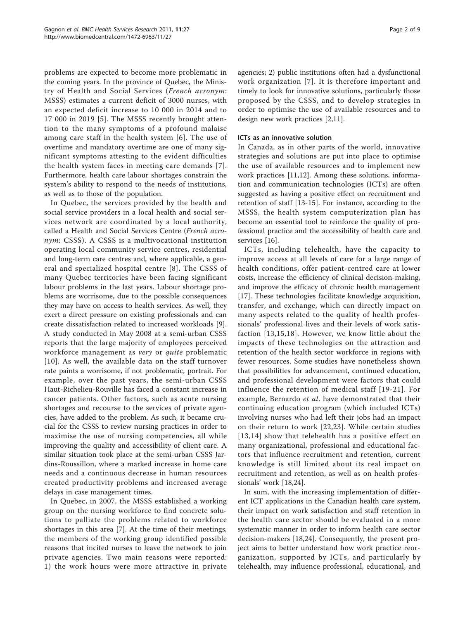problems are expected to become more problematic in the coming years. In the province of Quebec, the Ministry of Health and Social Services (French acronym: MSSS) estimates a current deficit of 3000 nurses, with an expected deficit increase to 10 000 in 2014 and to 17 000 in 2019 [[5](#page-7-0)]. The MSSS recently brought attention to the many symptoms of a profound malaise among care staff in the health system [[6](#page-7-0)]. The use of overtime and mandatory overtime are one of many significant symptoms attesting to the evident difficulties the health system faces in meeting care demands [[7\]](#page-7-0). Furthermore, health care labour shortages constrain the system's ability to respond to the needs of institutions, as well as to those of the population.

In Quebec, the services provided by the health and social service providers in a local health and social services network are coordinated by a local authority, called a Health and Social Services Centre (French acronym: CSSS). A CSSS is a multivocational institution operating local community service centres, residential and long-term care centres and, where applicable, a general and specialized hospital centre [[8](#page-7-0)]. The CSSS of many Quebec territories have been facing significant labour problems in the last years. Labour shortage problems are worrisome, due to the possible consequences they may have on access to health services. As well, they exert a direct pressure on existing professionals and can create dissatisfaction related to increased workloads [\[9](#page-7-0)]. A study conducted in May 2008 at a semi-urban CSSS reports that the large majority of employees perceived workforce management as very or quite problematic [[10\]](#page-7-0). As well, the available data on the staff turnover rate paints a worrisome, if not problematic, portrait. For example, over the past years, the semi-urban CSSS Haut-Richelieu-Rouville has faced a constant increase in cancer patients. Other factors, such as acute nursing shortages and recourse to the services of private agencies, have added to the problem. As such, it became crucial for the CSSS to review nursing practices in order to maximise the use of nursing competencies, all while improving the quality and accessibility of client care. A similar situation took place at the semi-urban CSSS Jardins-Roussillon, where a marked increase in home care needs and a continuous decrease in human resources created productivity problems and increased average delays in case management times.

In Quebec, in 2007, the MSSS established a working group on the nursing workforce to find concrete solutions to palliate the problems related to workforce shortages in this area [[7\]](#page-7-0). At the time of their meetings, the members of the working group identified possible reasons that incited nurses to leave the network to join private agencies. Two main reasons were reported: 1) the work hours were more attractive in private agencies; 2) public institutions often had a dysfunctional work organization [[7\]](#page-7-0). It is therefore important and timely to look for innovative solutions, particularly those proposed by the CSSS, and to develop strategies in order to optimise the use of available resources and to design new work practices [[2,11](#page-7-0)].

#### ICTs as an innovative solution

In Canada, as in other parts of the world, innovative strategies and solutions are put into place to optimise the use of available resources and to implement new work practices [\[11,12](#page-7-0)]. Among these solutions, information and communication technologies (ICTs) are often suggested as having a positive effect on recruitment and retention of staff [\[13](#page-7-0)-[15\]](#page-7-0). For instance, according to the MSSS, the health system computerization plan has become an essential tool to reinforce the quality of professional practice and the accessibility of health care and services [\[16](#page-7-0)].

ICTs, including telehealth, have the capacity to improve access at all levels of care for a large range of health conditions, offer patient-centred care at lower costs, increase the efficiency of clinical decision-making, and improve the efficacy of chronic health management [[17\]](#page-7-0). These technologies facilitate knowledge acquisition, transfer, and exchange, which can directly impact on many aspects related to the quality of health professionals' professional lives and their levels of work satisfaction [[13,15,18](#page-7-0)]. However, we know little about the impacts of these technologies on the attraction and retention of the health sector workforce in regions with fewer resources. Some studies have nonetheless shown that possibilities for advancement, continued education, and professional development were factors that could influence the retention of medical staff [[19-21](#page-7-0)]. For example, Bernardo et al. have demonstrated that their continuing education program (which included ICTs) involving nurses who had left their jobs had an impact on their return to work [[22,23](#page-7-0)]. While certain studies [[13,14](#page-7-0)] show that telehealth has a positive effect on many organizational, professional and educational factors that influence recruitment and retention, current knowledge is still limited about its real impact on recruitment and retention, as well as on health professionals' work [\[18,24\]](#page-7-0).

In sum, with the increasing implementation of different ICT applications in the Canadian health care system, their impact on work satisfaction and staff retention in the health care sector should be evaluated in a more systematic manner in order to inform health care sector decision-makers [\[18,24](#page-7-0)]. Consequently, the present project aims to better understand how work practice reorganization, supported by ICTs, and particularly by telehealth, may influence professional, educational, and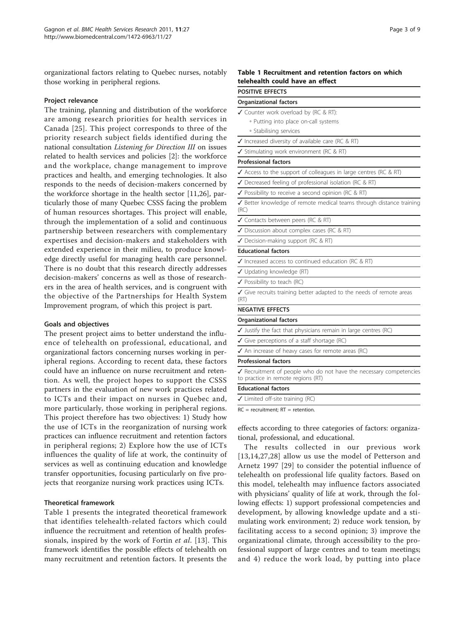organizational factors relating to Quebec nurses, notably those working in peripheral regions.

#### Project relevance

The training, planning and distribution of the workforce are among research priorities for health services in Canada [\[25\]](#page-7-0). This project corresponds to three of the priority research subject fields identified during the national consultation Listening for Direction III on issues related to health services and policies [\[2](#page-7-0)]: the workforce and the workplace, change management to improve practices and health, and emerging technologies. It also responds to the needs of decision-makers concerned by the workforce shortage in the health sector [[11,26\]](#page-7-0), particularly those of many Quebec CSSS facing the problem of human resources shortages. This project will enable, through the implementation of a solid and continuous partnership between researchers with complementary expertises and decision-makers and stakeholders with extended experience in their milieu, to produce knowledge directly useful for managing health care personnel. There is no doubt that this research directly addresses decision-makers' concerns as well as those of researchers in the area of health services, and is congruent with the objective of the Partnerships for Health System Improvement program, of which this project is part.

#### Goals and objectives

The present project aims to better understand the influence of telehealth on professional, educational, and organizational factors concerning nurses working in peripheral regions. According to recent data, these factors could have an influence on nurse recruitment and retention. As well, the project hopes to support the CSSS partners in the evaluation of new work practices related to ICTs and their impact on nurses in Quebec and, more particularly, those working in peripheral regions. This project therefore has two objectives: 1) Study how the use of ICTs in the reorganization of nursing work practices can influence recruitment and retention factors in peripheral regions; 2) Explore how the use of ICTs influences the quality of life at work, the continuity of services as well as continuing education and knowledge transfer opportunities, focusing particularly on five projects that reorganize nursing work practices using ICTs.

#### Theoretical framework

Table 1 presents the integrated theoretical framework that identifies telehealth-related factors which could influence the recruitment and retention of health professionals, inspired by the work of Fortin et al. [[13\]](#page-7-0). This framework identifies the possible effects of telehealth on many recruitment and retention factors. It presents the

#### Table 1 Recruitment and retention factors on which telehealth could have an effect

|      | <b>Organizational factors</b>                                                                            |
|------|----------------------------------------------------------------------------------------------------------|
|      | ✔ Counter work overload by (RC & RT):                                                                    |
|      | · Putting into place on-call systems                                                                     |
|      | · Stabilising services                                                                                   |
|      | √ Increased diversity of available care (RC & RT)                                                        |
|      | √ Stimulating work environment (RC & RT)                                                                 |
|      | <b>Professional factors</b>                                                                              |
|      | $\checkmark$ Access to the support of colleagues in large centres (RC & RT)                              |
|      | √ Decreased feeling of professional isolation (RC & RT)                                                  |
|      | √ Possibility to receive a second opinion (RC & RT)                                                      |
| (RC) | √ Better knowledge of remote medical teams through distance training                                     |
|      | ✔ Contacts between peers (RC & RT)                                                                       |
|      | √ Discussion about complex cases (RC & RT)                                                               |
|      | ✔ Decision-making support (RC & RT)                                                                      |
|      | <b>Educational factors</b>                                                                               |
|      | √ Increased access to continued education (RC & RT)                                                      |
|      | ✔ Updating knowledge (RT)                                                                                |
|      | ✔ Possibility to teach (RC)                                                                              |
| (RT) | √ Give recruits training better adapted to the needs of remote areas                                     |
|      | <b>NEGATIVE EFFECTS</b>                                                                                  |
|      | <b>Organizational factors</b>                                                                            |
|      | $\checkmark$ Justify the fact that physicians remain in large centres (RC)                               |
|      | √ Give perceptions of a staff shortage (RC)                                                              |
|      | √ An increase of heavy cases for remote areas (RC)                                                       |
|      | <b>Professional factors</b>                                                                              |
|      | √ Recruitment of people who do not have the necessary competencies<br>to practice in remote regions (RT) |
|      | <b>Educational factors</b>                                                                               |
|      | √ Limited off-site training (RC)                                                                         |

effects according to three categories of factors: organizational, professional, and educational.

The results collected in our previous work [[13](#page-7-0),[14,27,28](#page-7-0)] allow us use the model of Petterson and Arnetz 1997 [[29\]](#page-7-0) to consider the potential influence of telehealth on professional life quality factors. Based on this model, telehealth may influence factors associated with physicians' quality of life at work, through the following effects: 1) support professional competencies and development, by allowing knowledge update and a stimulating work environment; 2) reduce work tension, by facilitating access to a second opinion; 3) improve the organizational climate, through accessibility to the professional support of large centres and to team meetings; and 4) reduce the work load, by putting into place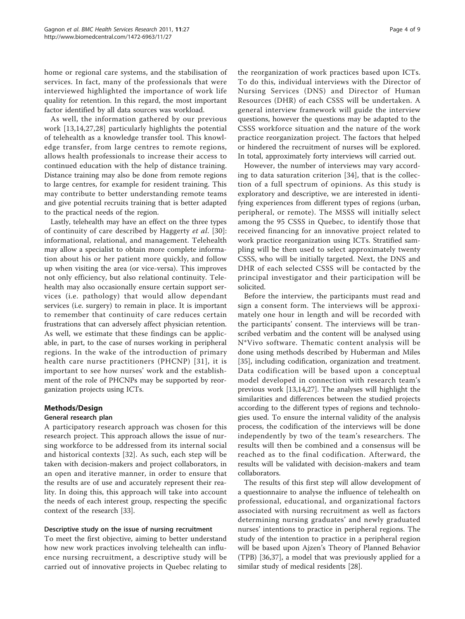home or regional care systems, and the stabilisation of services. In fact, many of the professionals that were interviewed highlighted the importance of work life quality for retention. In this regard, the most important factor identified by all data sources was workload.

As well, the information gathered by our previous work [[13,14](#page-7-0),[27,28](#page-7-0)] particularly highlights the potential of telehealth as a knowledge transfer tool. This knowledge transfer, from large centres to remote regions, allows health professionals to increase their access to continued education with the help of distance training. Distance training may also be done from remote regions to large centres, for example for resident training. This may contribute to better understanding remote teams and give potential recruits training that is better adapted to the practical needs of the region.

Lastly, telehealth may have an effect on the three types of continuity of care described by Haggerty et al. [[30](#page-7-0)]: informational, relational, and management. Telehealth may allow a specialist to obtain more complete information about his or her patient more quickly, and follow up when visiting the area (or vice-versa). This improves not only efficiency, but also relational continuity. Telehealth may also occasionally ensure certain support services (i.e. pathology) that would allow dependant services (i.e. surgery) to remain in place. It is important to remember that continuity of care reduces certain frustrations that can adversely affect physician retention. As well, we estimate that these findings can be applicable, in part, to the case of nurses working in peripheral regions. In the wake of the introduction of primary health care nurse practitioners (PHCNP) [[31\]](#page-7-0), it is important to see how nurses' work and the establishment of the role of PHCNPs may be supported by reorganization projects using ICTs.

#### Methods/Design

#### General research plan

A participatory research approach was chosen for this research project. This approach allows the issue of nursing workforce to be addressed from its internal social and historical contexts [\[32](#page-7-0)]. As such, each step will be taken with decision-makers and project collaborators, in an open and iterative manner, in order to ensure that the results are of use and accurately represent their reality. In doing this, this approach will take into account the needs of each interest group, respecting the specific context of the research [[33\]](#page-7-0).

#### Descriptive study on the issue of nursing recruitment

To meet the first objective, aiming to better understand how new work practices involving telehealth can influence nursing recruitment, a descriptive study will be carried out of innovative projects in Quebec relating to

the reorganization of work practices based upon ICTs. To do this, individual interviews with the Director of Nursing Services (DNS) and Director of Human Resources (DHR) of each CSSS will be undertaken. A general interview framework will guide the interview questions, however the questions may be adapted to the CSSS workforce situation and the nature of the work practice reorganization project. The factors that helped or hindered the recruitment of nurses will be explored. In total, approximately forty interviews will carried out.

However, the number of interviews may vary according to data saturation criterion [[34](#page-7-0)], that is the collection of a full spectrum of opinions. As this study is exploratory and descriptive, we are interested in identifying experiences from different types of regions (urban, peripheral, or remote). The MSSS will initially select among the 95 CSSS in Quebec, to identify those that received financing for an innovative project related to work practice reorganization using ICTs. Stratified sampling will be then used to select approximately twenty CSSS, who will be initially targeted. Next, the DNS and DHR of each selected CSSS will be contacted by the principal investigator and their participation will be solicited.

Before the interview, the participants must read and sign a consent form. The interviews will be approximately one hour in length and will be recorded with the participants' consent. The interviews will be transcribed verbatim and the content will be analysed using N\*Vivo software. Thematic content analysis will be done using methods described by Huberman and Miles [[35\]](#page-7-0), including codification, organization and treatment. Data codification will be based upon a conceptual model developed in connection with research team's previous work [[13,14](#page-7-0),[27](#page-7-0)]. The analyses will highlight the similarities and differences between the studied projects according to the different types of regions and technologies used. To ensure the internal validity of the analysis process, the codification of the interviews will be done independently by two of the team's researchers. The results will then be combined and a consensus will be reached as to the final codification. Afterward, the results will be validated with decision-makers and team collaborators.

The results of this first step will allow development of a questionnaire to analyse the influence of telehealth on professional, educational, and organizational factors associated with nursing recruitment as well as factors determining nursing graduates' and newly graduated nurses' intentions to practice in peripheral regions. The study of the intention to practice in a peripheral region will be based upon Ajzen's Theory of Planned Behavior (TPB) [[36](#page-7-0),[37\]](#page-7-0), a model that was previously applied for a similar study of medical residents [\[28\]](#page-7-0).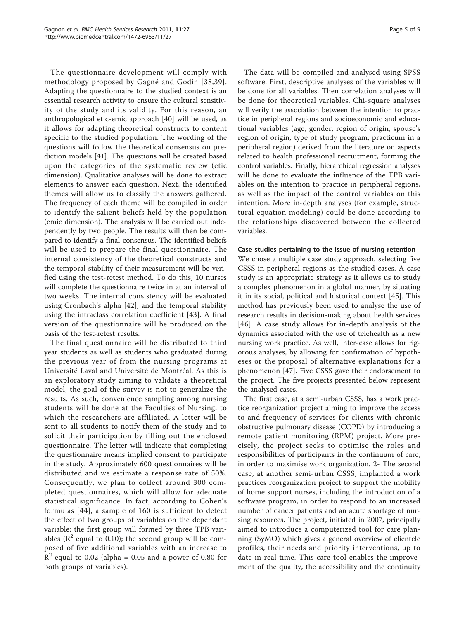The questionnaire development will comply with methodology proposed by Gagné and Godin [[38,39\]](#page-7-0). Adapting the questionnaire to the studied context is an essential research activity to ensure the cultural sensitivity of the study and its validity. For this reason, an anthropological etic-emic approach [\[40](#page-7-0)] will be used, as it allows for adapting theoretical constructs to content specific to the studied population. The wording of the questions will follow the theoretical consensus on prediction models [\[41\]](#page-7-0). The questions will be created based upon the categories of the systematic review (etic dimension). Qualitative analyses will be done to extract elements to answer each question. Next, the identified themes will allow us to classify the answers gathered. The frequency of each theme will be compiled in order to identify the salient beliefs held by the population (emic dimension). The analysis will be carried out independently by two people. The results will then be compared to identify a final consensus. The identified beliefs will be used to prepare the final questionnaire. The internal consistency of the theoretical constructs and the temporal stability of their measurement will be verified using the test-retest method. To do this, 10 nurses will complete the questionnaire twice in at an interval of two weeks. The internal consistency will be evaluated using Cronbach's alpha [\[42](#page-7-0)], and the temporal stability using the intraclass correlation coefficient [\[43\]](#page-7-0). A final version of the questionnaire will be produced on the basis of the test-retest results.

The final questionnaire will be distributed to third year students as well as students who graduated during the previous year of from the nursing programs at Université Laval and Université de Montréal. As this is an exploratory study aiming to validate a theoretical model, the goal of the survey is not to generalize the results. As such, convenience sampling among nursing students will be done at the Faculties of Nursing, to which the researchers are affiliated. A letter will be sent to all students to notify them of the study and to solicit their participation by filling out the enclosed questionnaire. The letter will indicate that completing the questionnaire means implied consent to participate in the study. Approximately 600 questionnaires will be distributed and we estimate a response rate of 50%. Consequently, we plan to collect around 300 completed questionnaires, which will allow for adequate statistical significance. In fact, according to Cohen's formulas [\[44\]](#page-7-0), a sample of 160 is sufficient to detect the effect of two groups of variables on the dependant variable: the first group will formed by three TPB variables ( $\mathbb{R}^2$  equal to 0.10); the second group will be composed of five additional variables with an increase to  $R^2$  equal to 0.02 (alpha = 0.05 and a power of 0.80 for both groups of variables).

The data will be compiled and analysed using SPSS software. First, descriptive analyses of the variables will be done for all variables. Then correlation analyses will be done for theoretical variables. Chi-square analyses will verify the association between the intention to practice in peripheral regions and socioeconomic and educational variables (age, gender, region of origin, spouse's region of origin, type of study program, practicum in a peripheral region) derived from the literature on aspects related to health professional recruitment, forming the control variables. Finally, hierarchical regression analyses will be done to evaluate the influence of the TPB variables on the intention to practice in peripheral regions, as well as the impact of the control variables on this intention. More in-depth analyses (for example, structural equation modeling) could be done according to the relationships discovered between the collected variables.

#### Case studies pertaining to the issue of nursing retention

We chose a multiple case study approach, selecting five CSSS in peripheral regions as the studied cases. A case study is an appropriate strategy as it allows us to study a complex phenomenon in a global manner, by situating it in its social, political and historical context [\[45](#page-7-0)]. This method has previously been used to analyse the use of research results in decision-making about health services [[46\]](#page-7-0). A case study allows for in-depth analysis of the dynamics associated with the use of telehealth as a new nursing work practice. As well, inter-case allows for rigorous analyses, by allowing for confirmation of hypotheses or the proposal of alternative explanations for a phenomenon [[47](#page-7-0)]. Five CSSS gave their endorsement to the project. The five projects presented below represent the analysed cases.

The first case, at a semi-urban CSSS, has a work practice reorganization project aiming to improve the access to and frequency of services for clients with chronic obstructive pulmonary disease (COPD) by introducing a remote patient monitoring (RPM) project. More precisely, the project seeks to optimise the roles and responsibilities of participants in the continuum of care, in order to maximise work organization. 2- The second case, at another semi-urban CSSS, implanted a work practices reorganization project to support the mobility of home support nurses, including the introduction of a software program, in order to respond to an increased number of cancer patients and an acute shortage of nursing resources. The project, initiated in 2007, principally aimed to introduce a computerized tool for care planning (SyMO) which gives a general overview of clientele profiles, their needs and priority interventions, up to date in real time. This care tool enables the improvement of the quality, the accessibility and the continuity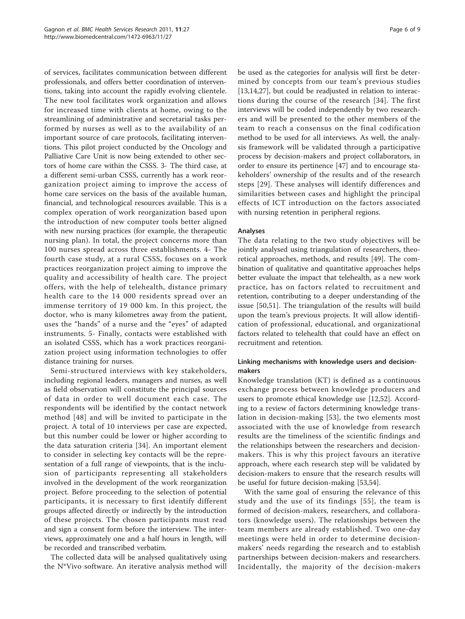of services, facilitates communication between different professionals, and offers better coordination of interventions, taking into account the rapidly evolving clientele. The new tool facilitates work organization and allows for increased time with clients at home, owing to the streamlining of administrative and secretarial tasks performed by nurses as well as to the availability of an important source of care protocols, facilitating interventions. This pilot project conducted by the Oncology and Palliative Care Unit is now being extended to other sectors of home care within the CSSS. 3- The third case, at a different semi-urban CSSS, currently has a work reorganization project aiming to improve the access of home care services on the basis of the available human, financial, and technological resources available. This is a complex operation of work reorganization based upon the introduction of new computer tools better aligned with new nursing practices (for example, the therapeutic nursing plan). In total, the project concerns more than 100 nurses spread across three establishments. 4- The fourth case study, at a rural CSSS, focuses on a work practices reorganization project aiming to improve the quality and accessibility of health care. The project offers, with the help of telehealth, distance primary health care to the 14 000 residents spread over an immense territory of 19 000 km. In this project, the doctor, who is many kilometres away from the patient, uses the "hands" of a nurse and the "eyes" of adapted instruments. 5- Finally, contacts were established with an isolated CSSS, which has a work practices reorganization project using information technologies to offer distance training for nurses.

Semi-structured interviews with key stakeholders, including regional leaders, managers and nurses, as well as field observation will constitute the principal sources of data in order to well document each case. The respondents will be identified by the contact network method [[48\]](#page-7-0) and will be invited to participate in the project. A total of 10 interviews per case are expected, but this number could be lower or higher according to the data saturation criteria [[34\]](#page-7-0). An important element to consider in selecting key contacts will be the representation of a full range of viewpoints, that is the inclusion of participants representing all stakeholders involved in the development of the work reorganization project. Before proceeding to the selection of potential participants, it is necessary to first identify different groups affected directly or indirectly by the introduction of these projects. The chosen participants must read and sign a consent form before the interview. The interviews, approximately one and a half hours in length, will be recorded and transcribed verbatim.

The collected data will be analysed qualitatively using the N\*Vivo software. An iterative analysis method will be used as the categories for analysis will first be determined by concepts from our team's previous studies [[13,14,27](#page-7-0)], but could be readjusted in relation to interactions during the course of the research [[34\]](#page-7-0). The first interviews will be coded independently by two researchers and will be presented to the other members of the team to reach a consensus on the final codification method to be used for all interviews. As well, the analysis framework will be validated through a participative process by decision-makers and project collaborators, in order to ensure its pertinence [\[47](#page-7-0)] and to encourage stakeholders' ownership of the results and of the research steps [[29](#page-7-0)]. These analyses will identify differences and similarities between cases and highlight the principal effects of ICT introduction on the factors associated with nursing retention in peripheral regions.

#### Analyses

The data relating to the two study objectives will be jointly analysed using triangulation of researchers, theoretical approaches, methods, and results [[49\]](#page-7-0). The combination of qualitative and quantitative approaches helps better evaluate the impact that telehealth, as a new work practice, has on factors related to recruitment and retention, contributing to a deeper understanding of the issue [[50,51](#page-7-0)]. The triangulation of the results will build upon the team's previous projects. It will allow identification of professional, educational, and organizational factors related to telehealth that could have an effect on recruitment and retention.

#### Linking mechanisms with knowledge users and decisionmakers

Knowledge translation (KT) is defined as a continuous exchange process between knowledge producers and users to promote ethical knowledge use [\[12,](#page-7-0)[52\]](#page-8-0). According to a review of factors determining knowledge translation in decision-making [[53](#page-8-0)], the two elements most associated with the use of knowledge from research results are the timeliness of the scientific findings and the relationships between the researchers and decisionmakers. This is why this project favours an iterative approach, where each research step will be validated by decision-makers to ensure that the research results will be useful for future decision-making [[53](#page-8-0),[54](#page-8-0)].

With the same goal of ensuring the relevance of this study and the use of its findings [[55\]](#page-8-0), the team is formed of decision-makers, researchers, and collaborators (knowledge users). The relationships between the team members are already established. Two one-day meetings were held in order to determine decisionmakers' needs regarding the research and to establish partnerships between decision-makers and researchers. Incidentally, the majority of the decision-makers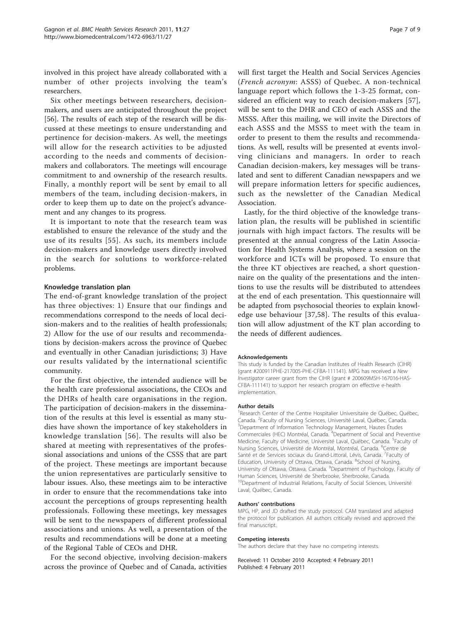involved in this project have already collaborated with a number of other projects involving the team's researchers.

Six other meetings between researchers, decisionmakers, and users are anticipated throughout the project [[56\]](#page-8-0). The results of each step of the research will be discussed at these meetings to ensure understanding and pertinence for decision-makers. As well, the meetings will allow for the research activities to be adjusted according to the needs and comments of decisionmakers and collaborators. The meetings will encourage commitment to and ownership of the research results. Finally, a monthly report will be sent by email to all members of the team, including decision-makers, in order to keep them up to date on the project's advancement and any changes to its progress.

It is important to note that the research team was established to ensure the relevance of the study and the use of its results [[55\]](#page-8-0). As such, its members include decision-makers and knowledge users directly involved in the search for solutions to workforce-related problems.

#### Knowledge translation plan

The end-of-grant knowledge translation of the project has three objectives: 1) Ensure that our findings and recommendations correspond to the needs of local decision-makers and to the realities of health professionals; 2) Allow for the use of our results and recommendations by decision-makers across the province of Quebec and eventually in other Canadian jurisdictions; 3) Have our results validated by the international scientific community.

For the first objective, the intended audience will be the health care professional associations, the CEOs and the DHRs of health care organisations in the region. The participation of decision-makers in the dissemination of the results at this level is essential as many studies have shown the importance of key stakeholders in knowledge translation [[56](#page-8-0)]. The results will also be shared at meeting with representatives of the professional associations and unions of the CSSS that are part of the project. These meetings are important because the union representatives are particularly sensitive to labour issues. Also, these meetings aim to be interactive in order to ensure that the recommendations take into account the perceptions of groups representing health professionals. Following these meetings, key messages will be sent to the newspapers of different professional associations and unions. As well, a presentation of the results and recommendations will be done at a meeting of the Regional Table of CEOs and DHR.

For the second objective, involving decision-makers across the province of Quebec and of Canada, activities

will first target the Health and Social Services Agencies (French acronym: ASSS) of Quebec. A non-technical language report which follows the 1-3-25 format, considered an efficient way to reach decision-makers [[57](#page-8-0)], will be sent to the DHR and CEO of each ASSS and the MSSS. After this mailing, we will invite the Directors of each ASSS and the MSSS to meet with the team in order to present to them the results and recommendations. As well, results will be presented at events involving clinicians and managers. In order to reach Canadian decision-makers, key messages will be translated and sent to different Canadian newspapers and we will prepare information letters for specific audiences, such as the newsletter of the Canadian Medical

Lastly, for the third objective of the knowledge translation plan, the results will be published in scientific journals with high impact factors. The results will be presented at the annual congress of the Latin Association for Health Systems Analysis, where a session on the workforce and ICTs will be proposed. To ensure that the three KT objectives are reached, a short questionnaire on the quality of the presentations and the intentions to use the results will be distributed to attendees at the end of each presentation. This questionnaire will be adapted from psychosocial theories to explain knowledge use behaviour [[37](#page-7-0)[,58\]](#page-8-0). The results of this evaluation will allow adjustment of the KT plan according to the needs of different audiences.

#### Acknowledgements

Association.

This study is funded by the Canadian Institutes of Health Research (CIHR) (grant #200911PHE-217005-PHE-CFBA-111141). MPG has received a New Investigator career grant from the CIHR (grant # 200609MSH-167016-HAS-CFBA-111141) to support her research program on effective e-health implementation.

#### Author details

<sup>1</sup> Research Center of the Centre Hospitalier Universitaire de Québec, Québec, Canada. <sup>2</sup> Faculty of Nursing Sciences, Université Laval, Québec, Canada.<br><sup>3</sup> Department of Information Technology Management, Hautes Études. <sup>3</sup>Department of Information Technology Management, Hautes Études Commerciales (HEC) Montréal, Canada. <sup>4</sup> Department of Social and Preventive Medicine, Faculty of Medicine, Université Laval, Québec, Canada. <sup>5</sup>Faculty of Nursing Sciences, Université de Montréal, Montréal, Canada. <sup>6</sup>Centre de Santé et de Services sociaux du Grand-Littoral, Lévis, Canada. 7Faculty of Education, University of Ottawa, Ottawa, Canada. <sup>8</sup>School of Nursing University of Ottawa, Ottawa, Canada. <sup>9</sup>Department of Psychology, Faculty of Human Sciences, Université de Sherbrooke, Sherbrooke, Canada. <sup>10</sup>Department of Industrial Relations, Faculty of Social Sciences, Université Laval, Québec, Canada.

#### Authors' contributions

MPG, HP, and JD drafted the study protocol. CAM translated and adapted the protocol for publication. All authors critically revised and approved the final manuscript.

#### Competing interests

The authors declare that they have no competing interests.

Received: 11 October 2010 Accepted: 4 February 2011 Published: 4 February 2011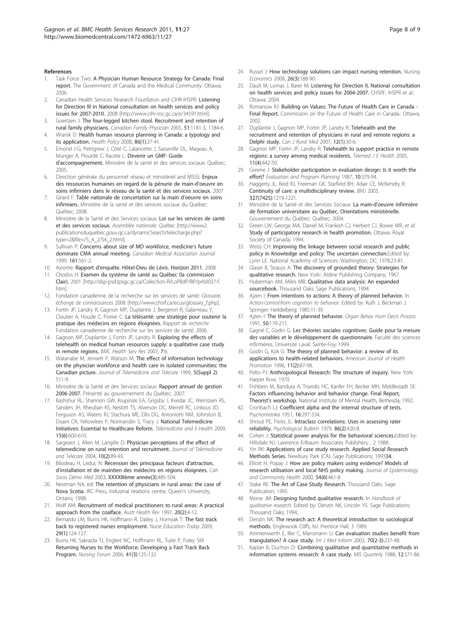#### <span id="page-7-0"></span>References

- 1. Task Force Two: A Physician Human Resource Strategy for Canada: Final report. The Government of Canada and the Medical Community: Ottawa; 2006.
- 2. Canadian Health Services Research Founfation and CIHR-IHSPR: Listening for Direction III in National consultation on health services and policy issues for 2007-2010. 2008 [<http://www.cihr-irsc.gc.ca/e/34591.html>].
- 3. Goertzen J: [The four-legged kitchen stool. Recruitment and retention of](http://www.ncbi.nlm.nih.gov/pubmed/16190165?dopt=Abstract) [rural family physicians.](http://www.ncbi.nlm.nih.gov/pubmed/16190165?dopt=Abstract) Canadian Family Physician 2005, 51:1181-3, 1184-6.
- 4. Wranik D: [Health human resource planning in Canada: a typology and](http://www.ncbi.nlm.nih.gov/pubmed/17931737?dopt=Abstract) [its application.](http://www.ncbi.nlm.nih.gov/pubmed/17931737?dopt=Abstract) Health Policy 2008, 86(1):27-41.
- 5. Émond J-G, Pettigrew J, Côté C, Lalancette J, Sasseville DL, Mageau A, Munger A, Plourde C, Racete L: Devenir un GMF: Guide d'accompagnement. Ministère de la santé et des services sociaux: Québec; 2005.
- Direction générale du personnel réseau et ministériel and MSSS: Enjeux des ressources humaines en regard de la pénurie de main-d'oeuvre en soins infirmiers dans le réseau de la santé et des services sociaux. 2007.
- Girard F: Table nationale de concertation sur la main d'oeuvre en soins infirmiers. Ministère de la santé et des services sociaux du Québec: Québec; 2008.
- Ministère de la Santé et des Services sociaux: Loi sur les services de santé et des services sociaux. Assemblée nationale: Québec [\[http://www2.](http://www2.publicationsduquebec.gouv.qc.ca/dynamicSearch/telecharge.php?type=2&file=/S_4_2/S4_2.html) [publicationsduquebec.gouv.qc.ca/dynamicSearch/telecharge.php?](http://www2.publicationsduquebec.gouv.qc.ca/dynamicSearch/telecharge.php?type=2&file=/S_4_2/S4_2.html) [type=2&file=/S\\_4\\_2/S4\\_2.html](http://www2.publicationsduquebec.gouv.qc.ca/dynamicSearch/telecharge.php?type=2&file=/S_4_2/S4_2.html)].
- 9. Sullivan P: [Concerns about size of MD workforce, medicine](http://www.ncbi.nlm.nih.gov/pubmed/10497616?dopt=Abstract)'s future [dominate CMA annual meeting.](http://www.ncbi.nlm.nih.gov/pubmed/10497616?dopt=Abstract) Canadian Medical Association Journal 1999, 161:561-2.
- 10. Axiome: Rapport d'enquête. Hôtel-Dieu de Lévis. Horizon 2011. 2008.
- 11. Chodos H: Examen du système de santé au Québec (la commission Clair). 2001 [\[http://dsp-psd.tpsgc.gc.ca/Collection-R/LoPBdP/BP/prb0037-f.](http://dsp-psd.tpsgc.gc.ca/Collection-R/LoPBdP/BP/prb0037-f.htm) [htm](http://dsp-psd.tpsgc.gc.ca/Collection-R/LoPBdP/BP/prb0037-f.htm)].
- 12. Fondation canadienne de la recherche sur les services de santé: Glossaire, échange de connaissances 2008 [\[http://www.chsrf.ca/ecus/glossary\\_f.php\]](http://www.chsrf.ca/ecus/glossary_f.php).
- 13. Fortin JP, Landry R, Gagnon MP, Duplantie J, Bergeron R, Galarneau Y, Cloutier A, Houde C, Poirier C: La télésanté: une stratégie pour soutenir la pratique des médecins en régions éloignées. Rapport de recherche Fondation canadienne de recherche sur les services de santé; 2006.
- 14. Gagnon MP, Duplantie J, Fortin JP, Landry R: [Exploring the effects of](http://www.ncbi.nlm.nih.gov/pubmed/17217534?dopt=Abstract) [telehealth on medical human resources supply: a qualitative case study](http://www.ncbi.nlm.nih.gov/pubmed/17217534?dopt=Abstract) [in remote regions.](http://www.ncbi.nlm.nih.gov/pubmed/17217534?dopt=Abstract) BMC Health Serv Res 2007, 7:6.
- 15. Watanabe M, Jennett P, Watson M: [The effect of information technology](http://www.ncbi.nlm.nih.gov/pubmed/10628013?dopt=Abstract) [on the physician workforce and health care in isolated communities: the](http://www.ncbi.nlm.nih.gov/pubmed/10628013?dopt=Abstract) [Canadian picture.](http://www.ncbi.nlm.nih.gov/pubmed/10628013?dopt=Abstract) Journal of Telemedicine and Telecare 1999, 5(Suppl 2): S11-9.
- 16. Ministère de la Santé et des Services sociaux: Rapport annuel de gestion 2006-2007. Présenté au gouvernement du Québec; 2007.
- 17. Bashshur RL, Shannon GW, Krupinski EA, Grigsby J, Kvedar JC, Weinstein RS, Sanders JH, Rheuban KS, Nesbitt TS, Alverson DC, Merrell RC, Linkous JD, Ferguson AS, Waters RJ, Stachura ME, Ellis DG, Antoniotti NM, Johnston B, Doarn CR, Yellowlees P, Normandin S, Tracy J: [National Telemedicine](http://www.ncbi.nlm.nih.gov/pubmed/19534591?dopt=Abstract) [Initiatives: Essential to Healthcare Reform.](http://www.ncbi.nlm.nih.gov/pubmed/19534591?dopt=Abstract) Telemedicine and E-Health 2009, 15(6):600-610.
- 18. Sargeant J, Allen M, Langille D: [Physician perceptions of the effect of](http://www.ncbi.nlm.nih.gov/pubmed/15068644?dopt=Abstract) [telemedicine on rural retention and recruitment.](http://www.ncbi.nlm.nih.gov/pubmed/15068644?dopt=Abstract) Journal of Telemedicine and Telecare 2004, 10(2):89-93.
- 19. Bilodeau H, Leduc N: Recension des principaux facteurs d'attraction, d'installation et de maintien des médecins en régions éloignées. Cah Socio Démo Méd 2003, XXXXIIIème année(3):485-504.
- 20. Nestman NA, ed: The retention of physicians in rural areas: the case of Nova Scotia. IRC Press, Industrial relations centre, Queen's University, Ontario; 1998.
- 21. Wolf AM: Recruitment of medical practitioners to rural areas: A practical approach from the coalface. Austr Health Rev 1997, 20(2):4-12.
- 22. Bernardo LM, Burns HK, Hoffmann R, Dailey J, Hornyak T: [The fast track](http://www.ncbi.nlm.nih.gov/pubmed/18845364?dopt=Abstract) [back to registered nurses employment.](http://www.ncbi.nlm.nih.gov/pubmed/18845364?dopt=Abstract) Nurse Education Today 2009, 29(1):124-127.
- 23. Burns HK, Sakraida TJ, Englert NC, Hoffmann RL, Tuite P, Foley SM: [Returning Nurses to the Workforce: Developing a Fast Track Back](http://www.ncbi.nlm.nih.gov/pubmed/16879147?dopt=Abstract) [Program.](http://www.ncbi.nlm.nih.gov/pubmed/16879147?dopt=Abstract) Nursing Forum 2006, 41(3):125-132.
- 24. Russel J: [How technology solutions can impact nursing retention.](http://www.ncbi.nlm.nih.gov/pubmed/18616057?dopt=Abstract) Nursing Economics 2008, 26(3):188-90.
- 25. Dault M, Lomas J, Barer M: Listening for Direction II, National consultation on health services and policy issues for 2004-2007. CHSRF, IHSPR et al.: Ottawa; 2004.
- 26. Romanow RJ: Building on Values: The Future of Health Care in Canada -Final Report. Commission on the Future of Health Care in Canada.: Ottawa; 2002.
- 27. Duplantie J, Gagnon MP, Fortin JP, Landry R: [Telehealth and the](http://www.ncbi.nlm.nih.gov/pubmed/17229362?dopt=Abstract) [recruitment and retention of physicians in rural and remote regions: a](http://www.ncbi.nlm.nih.gov/pubmed/17229362?dopt=Abstract) [Delphi study.](http://www.ncbi.nlm.nih.gov/pubmed/17229362?dopt=Abstract) Can J Rural Med 2007, 12(1):30-6.
- 28. Gagnon MP, Fortin JP, Landry R: [Telehealth to support practice in remote](http://www.ncbi.nlm.nih.gov/pubmed/16149890?dopt=Abstract) [regions: a survey among medical residents.](http://www.ncbi.nlm.nih.gov/pubmed/16149890?dopt=Abstract) Telemed J E Health 2005, 11(4):442-50.
- 29. Greene J: Stakeholder participation in evaluation design: Is it worth the effort? Evaluation and Program Planning 1987, 10:379-94.
- 30. Haggerty JL, Reid RJ, Freeman GK, Starfield BH, Adair CE, McKendry R: [Continuity of care: a multidisciplinary review.](http://www.ncbi.nlm.nih.gov/pubmed/14630762?dopt=Abstract) BMJ 2003, 327(7425):1219-1221.
- 31. Ministère de la Santé et des Services Sociaux: La main-d'oeuvre infirmière de formation universitaire au Québec. Orientations ministérielle. Gouvernement du Québec: Québec; 2004.
- 32. Green LW, George MA, Daniel M, Frankish CJ, Herbert CJ, Bowie WR, et al: Study of participatory research in health promotion. Ottawa: Royal Society of Canada; 1994.
- 33. Weiss CH: Improving the linkage between social research and public policy in Knowledge and policy: The uncertain connection.Edited by: Lynn LE. National Academy of Sciences: Washington, DC; 1978:23-81.
- 34. Glaser B, Strauss A: The discovery of grounded theory: Strategies for qualitative research. New York:: Aldine Publishing Company; 1967.
- 35. Huberman AM, Miles MB: Qualitative data analysis: An expanded sourcebook. Thousand Oaks: Sage Publications; 1994.
- 36. Ajzen I: From intentions to actions: A theory of planned behavior. In Action-control:from cognition to behavior. Edited by: Kulh J, Beckman J. Springer: Heildelberg; 1985:11-39.
- 37. Ajzen I: The theory of planned behavior. Organ Behav Hum Decis Process 1991, 50:179-211.
- 38. Gagné C, Godin G: Les théories sociales cognitives: Guide pour la mesure des variables et le développement de questionnaire. Faculté des sciences infirmières, Université Laval: Sainte-Foy; 1999.
- 39. Godin G, Kok G: [The theory of planned behavior: a review of its](http://www.ncbi.nlm.nih.gov/pubmed/10163601?dopt=Abstract) [applications to health-related behaviors.](http://www.ncbi.nlm.nih.gov/pubmed/10163601?dopt=Abstract) American Journal of Health Promotion 1996, 11(2):87-98.
- 40. Pelto PJ: Anthropological Research: The structure of inquiry. New York: Harper Row; 1970.
- 41. Fishbein M, Bandura A, Triandis HC, Kanfer FH, Becker MH, Middlestadt SE: Factors influencing behavior and behavior change. Final Report, Theorist's workshop. National Institute of Mental Health, Bethesda; 1992.
- 42. Cronbach LJ: Coefficient alpha and the internal structure of tests. Psychometrika 1951, 16:297-334.
- 43. Shrout PE, Fleiss JL: [Intraclass correlations: Uses in assessing rater](http://www.ncbi.nlm.nih.gov/pubmed/18839484?dopt=Abstract) [reliability.](http://www.ncbi.nlm.nih.gov/pubmed/18839484?dopt=Abstract) Psychological Bulletin 1979, 86(2):420-8.
- 44. Cohen J: Statistical power analysis for the behavioral sciences.Edited by: Hillsdale NJ. Lawrence Erlbaum Associates Publishers; , 2 1988:.
- Yin RK: Applications of case study research. Applied Social Research Methods Series. Newbury Park (CA): Sage Publications; 199334.
- 46. Elliott H, Popay J: [How are policy makers using evidence? Models of](http://www.ncbi.nlm.nih.gov/pubmed/10818123?dopt=Abstract) [research utilisation and local NHS policy making.](http://www.ncbi.nlm.nih.gov/pubmed/10818123?dopt=Abstract) Journal of Epidemiology and Community Health 2000, 54(6):461-8.
- 47. Stake RE: The Art of Case Study Research. Thousand Oaks: Sage Publication; 1995.
- 48. Morse JM: Designing funded qualitative research. In Handbook of qualitative research. Edited by: Denzin NK, Lincoln YS. Sage Publications: Thousand Oaks: 1994.
- 49. Denzin NK: The research act: A theoretical introduction to sociological methods. Englewook Cliffs, NJ: Prentice Hall, 3 1989.
- 50. Ammenwerth E, Iller C, Mansmann U: [Can evaluation studies benefit from](http://www.ncbi.nlm.nih.gov/pubmed/12909175?dopt=Abstract) [triangulation? A case study.](http://www.ncbi.nlm.nih.gov/pubmed/12909175?dopt=Abstract) Int J Med Inform 2003, 70(2-3):237-48.
- 51. Kaplan B, Duchon D: Combining qualitative and quantitative methods in information systems research: A case study. MIS Quarterly 1988, 12:571-86.